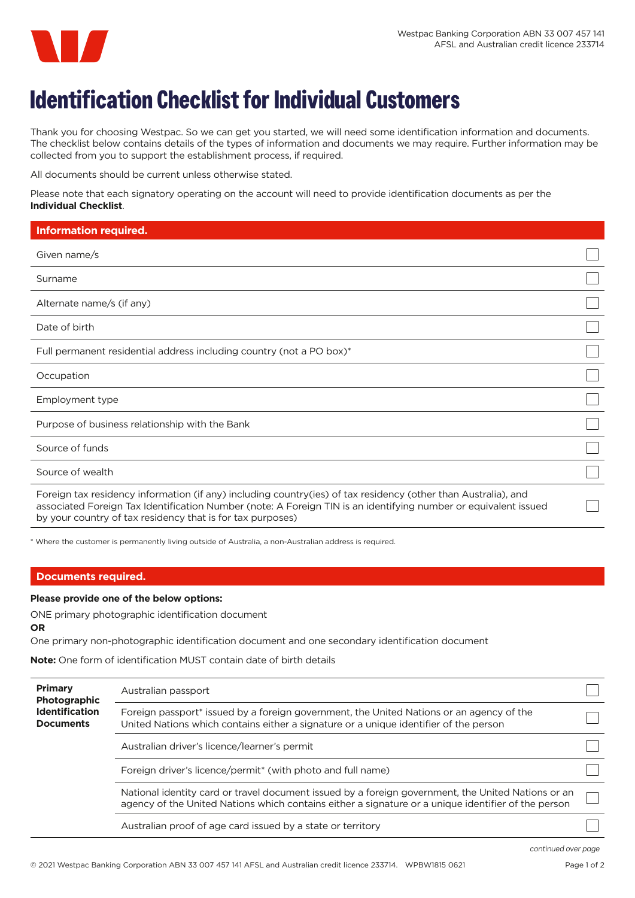

## **Identification Checklist for Individual Customers**

Thank you for choosing Westpac. So we can get you started, we will need some identification information and documents. The checklist below contains details of the types of information and documents we may require. Further information may be collected from you to support the establishment process, if required.

All documents should be current unless otherwise stated.

Please note that each signatory operating on the account will need to provide identification documents as per the **Individual Checklist**.

| <b>Information required.</b>                                                                                                                                                                                                                                                                    |  |
|-------------------------------------------------------------------------------------------------------------------------------------------------------------------------------------------------------------------------------------------------------------------------------------------------|--|
| Given name/s                                                                                                                                                                                                                                                                                    |  |
| Surname                                                                                                                                                                                                                                                                                         |  |
| Alternate name/s (if any)                                                                                                                                                                                                                                                                       |  |
| Date of birth                                                                                                                                                                                                                                                                                   |  |
| Full permanent residential address including country (not a PO box)*                                                                                                                                                                                                                            |  |
| Occupation                                                                                                                                                                                                                                                                                      |  |
| Employment type                                                                                                                                                                                                                                                                                 |  |
| Purpose of business relationship with the Bank                                                                                                                                                                                                                                                  |  |
| Source of funds                                                                                                                                                                                                                                                                                 |  |
| Source of wealth                                                                                                                                                                                                                                                                                |  |
| Foreign tax residency information (if any) including country(ies) of tax residency (other than Australia), and<br>associated Foreign Tax Identification Number (note: A Foreign TIN is an identifying number or equivalent issued<br>by your country of tax residency that is for tax purposes) |  |

\* Where the customer is permanently living outside of Australia, a non-Australian address is required.

## **Documents required.**

## **Please provide one of the below options:**

ONE primary photographic identification document **OR**

One primary non-photographic identification document and one secondary identification document

**Note:** One form of identification MUST contain date of birth details

| <b>Primary</b><br>Photographic<br><b>Identification</b><br><b>Documents</b> | Australian passport                                                                                                                                                                                       |  |
|-----------------------------------------------------------------------------|-----------------------------------------------------------------------------------------------------------------------------------------------------------------------------------------------------------|--|
|                                                                             | Foreign passport* issued by a foreign government, the United Nations or an agency of the<br>United Nations which contains either a signature or a unique identifier of the person                         |  |
|                                                                             | Australian driver's licence/learner's permit                                                                                                                                                              |  |
|                                                                             | Foreign driver's licence/permit <sup>*</sup> (with photo and full name)                                                                                                                                   |  |
|                                                                             | National identity card or travel document issued by a foreign government, the United Nations or an<br>agency of the United Nations which contains either a signature or a unique identifier of the person |  |
|                                                                             | Australian proof of age card issued by a state or territory                                                                                                                                               |  |